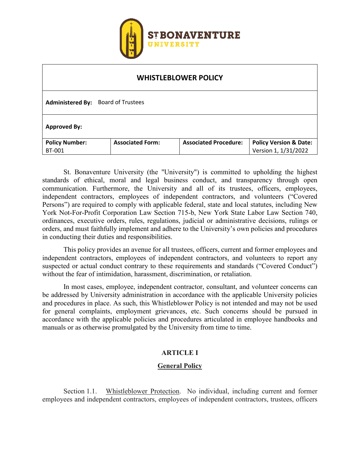

| <b>WHISTLEBLOWER POLICY</b>        |                         |                              |                                   |  |
|------------------------------------|-------------------------|------------------------------|-----------------------------------|--|
| Administered By: Board of Trustees |                         |                              |                                   |  |
| <b>Approved By:</b>                |                         |                              |                                   |  |
| <b>Policy Number:</b>              | <b>Associated Form:</b> | <b>Associated Procedure:</b> | <b>Policy Version &amp; Date:</b> |  |
| <b>BT-001</b>                      |                         |                              | Version 1, 1/31/2022              |  |

St. Bonaventure University (the "University") is committed to upholding the highest standards of ethical, moral and legal business conduct, and transparency through open communication. Furthermore, the University and all of its trustees, officers, employees, independent contractors, employees of independent contractors, and volunteers ("Covered Persons") are required to comply with applicable federal, state and local statutes, including New York Not-For-Profit Corporation Law Section 715-b, New York State Labor Law Section 740, ordinances, executive orders, rules, regulations, judicial or administrative decisions, rulings or orders, and must faithfully implement and adhere to the University's own policies and procedures in conducting their duties and responsibilities.

This policy provides an avenue for all trustees, officers, current and former employees and independent contractors, employees of independent contractors, and volunteers to report any suspected or actual conduct contrary to these requirements and standards ("Covered Conduct") without the fear of intimidation, harassment, discrimination, or retaliation.

In most cases, employee, independent contractor, consultant, and volunteer concerns can be addressed by University administration in accordance with the applicable University policies and procedures in place. As such, this Whistleblower Policy is not intended and may not be used for general complaints, employment grievances, etc. Such concerns should be pursued in accordance with the applicable policies and procedures articulated in employee handbooks and manuals or as otherwise promulgated by the University from time to time.

## **ARTICLE I**

## **General Policy**

Section 1.1. Whistleblower Protection. No individual, including current and former employees and independent contractors, employees of independent contractors, trustees, officers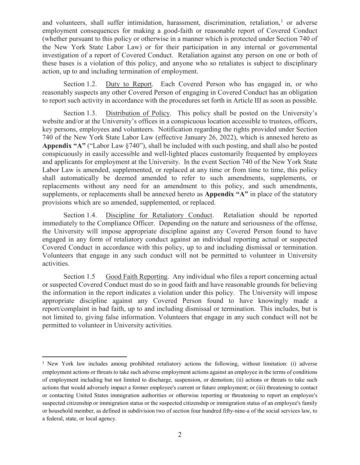and volunteers, shall suffer intimidation, harassment, discrimination, retaliation, $<sup>1</sup>$  $<sup>1</sup>$  $<sup>1</sup>$  or adverse</sup> employment consequences for making a good-faith or reasonable report of Covered Conduct (whether pursuant to this policy or otherwise in a manner which is protected under Section 740 of the New York State Labor Law) or for their participation in any internal or governmental investigation of a report of Covered Conduct. Retaliation against any person on one or both of these bases is a violation of this policy, and anyone who so retaliates is subject to disciplinary action, up to and including termination of employment.

Section 1.2. Duty to Report. Each Covered Person who has engaged in, or who reasonably suspects any other Covered Person of engaging in Covered Conduct has an obligation to report such activity in accordance with the procedures set forth in Article III as soon as possible.

Section 1.3. Distribution of Policy. This policy shall be posted on the University's website and/or at the University's offices in a conspicuous location accessible to trustees, officers, key persons, employees and volunteers. Notification regarding the rights provided under Section 740 of the New York State Labor Law (effective January 26, 2022), which is annexed hereto as **Appendix "A"** ("Labor Law §740"), shall be included with such posting, and shall also be posted conspicuously in easily accessible and well-lighted places customarily frequented by employees and applicants for employment at the University. In the event Section 740 of the New York State Labor Law is amended, supplemented, or replaced at any time or from time to time, this policy shall automatically be deemed amended to refer to such amendments, supplements, or replacements without any need for an amendment to this policy, and such amendments, supplements, or replacements shall be annexed hereto as **Appendix "A"** in place of the statutory provisions which are so amended, supplemented, or replaced.

Section 1.4. Discipline for Retaliatory Conduct. Retaliation should be reported immediately to the Compliance Officer. Depending on the nature and seriousness of the offense, the University will impose appropriate discipline against any Covered Person found to have engaged in any form of retaliatory conduct against an individual reporting actual or suspected Covered Conduct in accordance with this policy, up to and including dismissal or termination. Volunteers that engage in any such conduct will not be permitted to volunteer in University activities.

Section 1.5 Good Faith Reporting. Any individual who files a report concerning actual or suspected Covered Conduct must do so in good faith and have reasonable grounds for believing the information in the report indicates a violation under this policy. The University will impose appropriate discipline against any Covered Person found to have knowingly made a report/complaint in bad faith, up to and including dismissal or termination. This includes, but is not limited to, giving false information. Volunteers that engage in any such conduct will not be permitted to volunteer in University activities.

<span id="page-1-0"></span><sup>1</sup> New York law includes among prohibited retaliatory actions the following, without limitation: (i) adverse employment actions or threats to take such adverse employment actions against an employee in the terms of conditions of employment including but not limited to discharge, suspension, or demotion; (ii) actions or threats to take such actions that would adversely impact a former employee's current or future employment; or (iii) threatening to contact or contacting United States immigration authorities or otherwise reporting or threatening to report an employee's suspected citizenship or immigration status or the suspected citizenship or immigration status of an employee's family or household member, as defined in subdivision two of section four hundred fifty-nine-a of the social services law, to a federal, state, or local agency.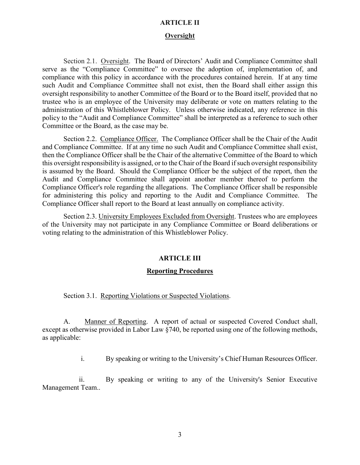### **ARTICLE II**

#### **Oversight**

Section 2.1. Oversight. The Board of Directors' Audit and Compliance Committee shall serve as the "Compliance Committee" to oversee the adoption of, implementation of, and compliance with this policy in accordance with the procedures contained herein. If at any time such Audit and Compliance Committee shall not exist, then the Board shall either assign this oversight responsibility to another Committee of the Board or to the Board itself, provided that no trustee who is an employee of the University may deliberate or vote on matters relating to the administration of this Whistleblower Policy. Unless otherwise indicated, any reference in this policy to the "Audit and Compliance Committee" shall be interpreted as a reference to such other Committee or the Board, as the case may be.

Section 2.2. Compliance Officer. The Compliance Officer shall be the Chair of the Audit and Compliance Committee. If at any time no such Audit and Compliance Committee shall exist, then the Compliance Officer shall be the Chair of the alternative Committee of the Board to which this oversight responsibility is assigned, or to the Chair of the Board if such oversight responsibility is assumed by the Board. Should the Compliance Officer be the subject of the report, then the Audit and Compliance Committee shall appoint another member thereof to perform the Compliance Officer's role regarding the allegations. The Compliance Officer shall be responsible for administering this policy and reporting to the Audit and Compliance Committee. The Compliance Officer shall report to the Board at least annually on compliance activity.

Section 2.3. University Employees Excluded from Oversight. Trustees who are employees of the University may not participate in any Compliance Committee or Board deliberations or voting relating to the administration of this Whistleblower Policy.

### **ARTICLE III**

### **Reporting Procedures**

Section 3.1. Reporting Violations or Suspected Violations.

A. Manner of Reporting. A report of actual or suspected Covered Conduct shall, except as otherwise provided in Labor Law §740, be reported using one of the following methods, as applicable:

i. By speaking or writing to the University's Chief Human Resources Officer.

ii. By speaking or writing to any of the University's Senior Executive Management Team..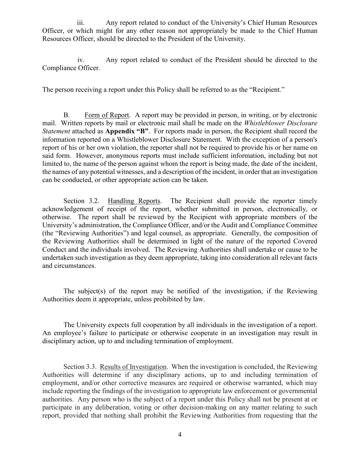iii. Any report related to conduct of the University's Chief Human Resources Officer, or which might for any other reason not appropriately be made to the Chief Human Resources Officer, should be directed to the President of the University.

iv. Any report related to conduct of the President should be directed to the Compliance Officer.

The person receiving a report under this Policy shall be referred to as the "Recipient."

B. Form of Report. A report may be provided in person, in writing, or by electronic mail. Written reports by mail or electronic mail shall be made on the *Whistleblower Disclosure Statement* attached as **Appendix "B"**. For reports made in person, the Recipient shall record the information reported on a Whistleblower Disclosure Statement. With the exception of a person's report of his or her own violation, the reporter shall not be required to provide his or her name on said form. However, anonymous reports must include sufficient information, including but not limited to, the name of the person against whom the report is being made, the date of the incident, the names of any potential witnesses, and a description of the incident, in order that an investigation can be conducted, or other appropriate action can be taken.

Section 3.2. Handling Reports. The Recipient shall provide the reporter timely acknowledgement of receipt of the report, whether submitted in person, electronically, or otherwise. The report shall be reviewed by the Recipient with appropriate members of the University's administration, the Compliance Officer, and/or the Audit and Compliance Committee (the "Reviewing Authorities") and legal counsel, as appropriate. Generally, the composition of the Reviewing Authorities shall be determined in light of the nature of the reported Covered Conduct and the individuals involved. The Reviewing Authorities shall undertake or cause to be undertaken such investigation as they deem appropriate, taking into consideration all relevant facts and circumstances.

The subject(s) of the report may be notified of the investigation, if the Reviewing Authorities deem it appropriate, unless prohibited by law.

The University expects full cooperation by all individuals in the investigation of a report. An employee's failure to participate or otherwise cooperate in an investigation may result in disciplinary action, up to and including termination of employment.

Section 3.3. Results of Investigation. When the investigation is concluded, the Reviewing Authorities will determine if any disciplinary actions, up to and including termination of employment, and/or other corrective measures are required or otherwise warranted, which may include reporting the findings of the investigation to appropriate law enforcement or governmental authorities. Any person who is the subject of a report under this Policy shall not be present at or participate in any deliberation, voting or other decision-making on any matter relating to such report, provided that nothing shall prohibit the Reviewing Authorities from requesting that the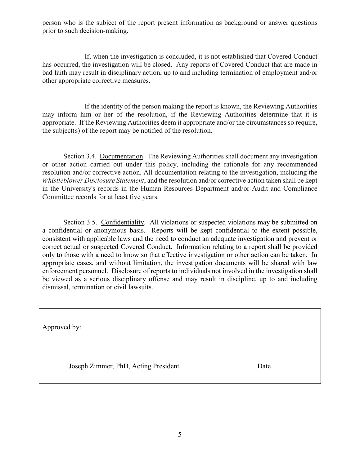person who is the subject of the report present information as background or answer questions prior to such decision-making.

If, when the investigation is concluded, it is not established that Covered Conduct has occurred, the investigation will be closed. Any reports of Covered Conduct that are made in bad faith may result in disciplinary action, up to and including termination of employment and/or other appropriate corrective measures.

If the identity of the person making the report is known, the Reviewing Authorities may inform him or her of the resolution, if the Reviewing Authorities determine that it is appropriate. If the Reviewing Authorities deem it appropriate and/or the circumstances so require, the subject(s) of the report may be notified of the resolution.

Section 3.4. Documentation. The Reviewing Authorities shall document any investigation or other action carried out under this policy, including the rationale for any recommended resolution and/or corrective action. All documentation relating to the investigation, including the *Whistleblower Disclosure Statement*, and the resolution and/or corrective action taken shall be kept in the University's records in the Human Resources Department and/or Audit and Compliance Committee records for at least five years.

Section 3.5. Confidentiality. All violations or suspected violations may be submitted on a confidential or anonymous basis. Reports will be kept confidential to the extent possible, consistent with applicable laws and the need to conduct an adequate investigation and prevent or correct actual or suspected Covered Conduct. Information relating to a report shall be provided only to those with a need to know so that effective investigation or other action can be taken. In appropriate cases, and without limitation, the investigation documents will be shared with law enforcement personnel. Disclosure of reports to individuals not involved in the investigation shall be viewed as a serious disciplinary offense and may result in discipline, up to and including dismissal, termination or civil lawsuits.

Approved by:

Joseph Zimmer, PhD, Acting President Date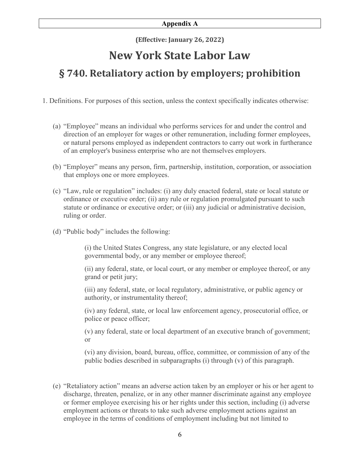### **Appendix A**

**(Effective: January 26, 2022)**

# **New York State Labor Law**

# **§ 740. Retaliatory action by employers; prohibition**

- 1. Definitions. For purposes of this section, unless the context specifically indicates otherwise:
	- (a) "Employee" means an individual who performs services for and under the control and direction of an employer for wages or other remuneration, including former employees, or natural persons employed as independent contractors to carry out work in furtherance of an employer's business enterprise who are not themselves employers.
	- (b) "Employer" means any person, firm, partnership, institution, corporation, or association that employs one or more employees.
	- (c) "Law, rule or regulation" includes: (i) any duly enacted federal, state or local statute or ordinance or executive order; (ii) any rule or regulation promulgated pursuant to such statute or ordinance or executive order; or (iii) any judicial or administrative decision, ruling or order.
	- (d) "Public body" includes the following:

(i) the United States Congress, any state legislature, or any elected local governmental body, or any member or employee thereof;

(ii) any federal, state, or local court, or any member or employee thereof, or any grand or petit jury;

(iii) any federal, state, or local regulatory, administrative, or public agency or authority, or instrumentality thereof;

(iv) any federal, state, or local law enforcement agency, prosecutorial office, or police or peace officer;

(v) any federal, state or local department of an executive branch of government; or

(vi) any division, board, bureau, office, committee, or commission of any of the public bodies described in subparagraphs (i) through (v) of this paragraph.

(e) "Retaliatory action" means an adverse action taken by an employer or his or her agent to discharge, threaten, penalize, or in any other manner discriminate against any employee or former employee exercising his or her rights under this section, including (i) adverse employment actions or threats to take such adverse employment actions against an employee in the terms of conditions of employment including but not limited to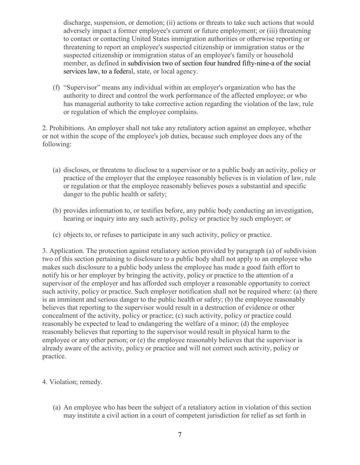discharge, suspension, or demotion; (ii) actions or threats to take such actions that would adversely impact a former employee's current or future employment; or (iii) threatening to contact or contacting United States immigration authorities or otherwise reporting or threatening to report an employee's suspected citizenship or immigration status or the suspected citizenship or immigration status of an employee's family or household member, as defined in [subdivision two of section four hundred fifty-nine-a of the social](https://1.next.westlaw.com/Link/Document/FullText?findType=L&pubNum=1000136&cite=NYSVS459-A&originatingDoc=N705DF8603B2811EC81ED9C2786577532&refType=SP&originationContext=document&transitionType=DocumentItem&ppcid=2b95035a16d74b45bc6383717e78d1b5&contextData=(sc.RelatedInfo)#co_pp_57e60000f6d46) [services](https://1.next.westlaw.com/Link/Document/FullText?findType=L&pubNum=1000136&cite=NYSVS459-A&originatingDoc=N705DF8603B2811EC81ED9C2786577532&refType=SP&originationContext=document&transitionType=DocumentItem&ppcid=2b95035a16d74b45bc6383717e78d1b5&contextData=(sc.RelatedInfo)#co_pp_57e60000f6d46) law, to a federal, state, or local agency.

(f) "Supervisor" means any individual within an employer's organization who has the authority to direct and control the work performance of the affected employee; or who has managerial authority to take corrective action regarding the violation of the law, rule or regulation of which the employee complains.

2. Prohibitions. An employer shall not take any retaliatory action against an employee, whether or not within the scope of the employee's job duties, because such employee does any of the following:

- (a) discloses, or threatens to disclose to a supervisor or to a public body an activity, policy or practice of the employer that the employee reasonably believes is in violation of law, rule or regulation or that the employee reasonably believes poses a substantial and specific danger to the public health or safety;
- (b) provides information to, or testifies before, any public body conducting an investigation, hearing or inquiry into any such activity, policy or practice by such employer; or
- (c) objects to, or refuses to participate in any such activity, policy or practice.

3. Application. The protection against retaliatory action provided by paragraph (a) of subdivision two of this section pertaining to disclosure to a public body shall not apply to an employee who makes such disclosure to a public body unless the employee has made a good faith effort to notify his or her employer by bringing the activity, policy or practice to the attention of a supervisor of the employer and has afforded such employer a reasonable opportunity to correct such activity, policy or practice. Such employer notification shall not be required where: (a) there is an imminent and serious danger to the public health or safety; (b) the employee reasonably believes that reporting to the supervisor would result in a destruction of evidence or other concealment of the activity, policy or practice; (c) such activity, policy or practice could reasonably be expected to lead to endangering the welfare of a minor; (d) the employee reasonably believes that reporting to the supervisor would result in physical harm to the employee or any other person; or (e) the employee reasonably believes that the supervisor is already aware of the activity, policy or practice and will not correct such activity, policy or practice.

- 4. Violation; remedy.
	- (a) An employee who has been the subject of a retaliatory action in violation of this section may institute a civil action in a court of competent jurisdiction for relief as set forth in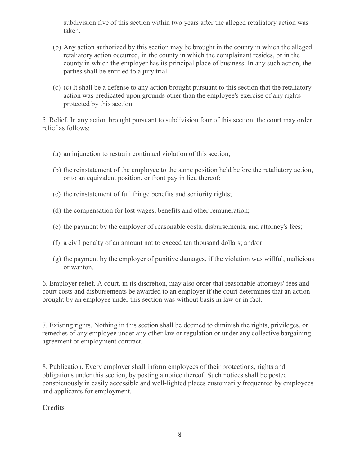subdivision five of this section within two years after the alleged retaliatory action was taken.

- (b) Any action authorized by this section may be brought in the county in which the alleged retaliatory action occurred, in the county in which the complainant resides, or in the county in which the employer has its principal place of business. In any such action, the parties shall be entitled to a jury trial.
- (c) (c) It shall be a defense to any action brought pursuant to this section that the retaliatory action was predicated upon grounds other than the employee's exercise of any rights protected by this section.

5. Relief. In any action brought pursuant to subdivision four of this section, the court may order relief as follows:

- (a) an injunction to restrain continued violation of this section;
- (b) the reinstatement of the employee to the same position held before the retaliatory action, or to an equivalent position, or front pay in lieu thereof;
- (c) the reinstatement of full fringe benefits and seniority rights;
- (d) the compensation for lost wages, benefits and other remuneration;
- (e) the payment by the employer of reasonable costs, disbursements, and attorney's fees;
- (f) a civil penalty of an amount not to exceed ten thousand dollars; and/or
- (g) the payment by the employer of punitive damages, if the violation was willful, malicious or wanton.

6. Employer relief. A court, in its discretion, may also order that reasonable attorneys' fees and court costs and disbursements be awarded to an employer if the court determines that an action brought by an employee under this section was without basis in law or in fact.

7. Existing rights. Nothing in this section shall be deemed to diminish the rights, privileges, or remedies of any employee under any other law or regulation or under any collective bargaining agreement or employment contract.

8. Publication. Every employer shall inform employees of their protections, rights and obligations under this section, by posting a notice thereof. Such notices shall be posted conspicuously in easily accessible and well-lighted places customarily frequented by employees and applicants for employment.

## **Credits**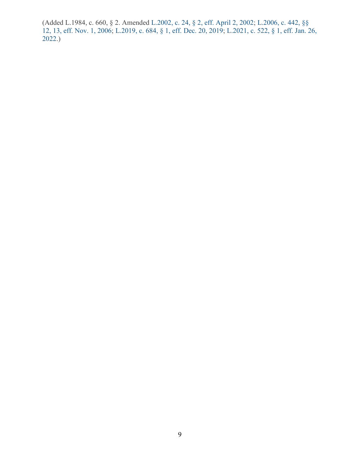(Added L.1984, c. 660, § 2. Amended [L.2002, c. 24, § 2, eff.](https://1.next.westlaw.com/Link/Document/FullText?findType=l&pubNum=1077005&cite=UUID(I44F1C18517-7B419AAF1B3-C1B4F8F4AF0)&originatingDoc=N705DF8603B2811EC81ED9C2786577532&refType=SL&originationContext=document&transitionType=DocumentItem&ppcid=2b95035a16d74b45bc6383717e78d1b5&contextData=(sc.RelatedInfo)) April 2, 2002; [L.2006, c. 442, §§](https://1.next.westlaw.com/Link/Document/FullText?findType=l&pubNum=1077005&cite=UUID(I465BBC8036-D611DB9A168-1E74C394751)&originatingDoc=N705DF8603B2811EC81ED9C2786577532&refType=SL&originationContext=document&transitionType=DocumentItem&ppcid=2b95035a16d74b45bc6383717e78d1b5&contextData=(sc.RelatedInfo))  [12, 13, eff. Nov. 1, 2006;](https://1.next.westlaw.com/Link/Document/FullText?findType=l&pubNum=1077005&cite=UUID(I465BBC8036-D611DB9A168-1E74C394751)&originatingDoc=N705DF8603B2811EC81ED9C2786577532&refType=SL&originationContext=document&transitionType=DocumentItem&ppcid=2b95035a16d74b45bc6383717e78d1b5&contextData=(sc.RelatedInfo)) [L.2019, c. 684, § 1, eff.](https://1.next.westlaw.com/Link/Document/FullText?findType=l&pubNum=1077005&cite=UUID(I5D698DE025-D211EAB937E-904EFB88762)&originatingDoc=N705DF8603B2811EC81ED9C2786577532&refType=SL&originationContext=document&transitionType=DocumentItem&ppcid=2b95035a16d74b45bc6383717e78d1b5&contextData=(sc.RelatedInfo)) Dec. 20, 2019; [L.2021, c. 522, § 1, eff.](https://1.next.westlaw.com/Link/Document/FullText?findType=l&pubNum=1077005&cite=UUID(I63DF5BB038-F811ECB5A9D-7DFCF3C1510)&originatingDoc=N705DF8603B2811EC81ED9C2786577532&refType=SL&originationContext=document&transitionType=DocumentItem&ppcid=2b95035a16d74b45bc6383717e78d1b5&contextData=(sc.RelatedInfo)) Jan. 26, [2022.](https://1.next.westlaw.com/Link/Document/FullText?findType=l&pubNum=1077005&cite=UUID(I63DF5BB038-F811ECB5A9D-7DFCF3C1510)&originatingDoc=N705DF8603B2811EC81ED9C2786577532&refType=SL&originationContext=document&transitionType=DocumentItem&ppcid=2b95035a16d74b45bc6383717e78d1b5&contextData=(sc.RelatedInfo)))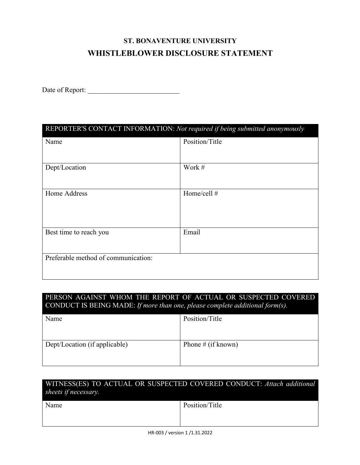# **ST. BONAVENTURE UNIVERSITY WHISTLEBLOWER DISCLOSURE STATEMENT**

Date of Report:

| REPORTER'S CONTACT INFORMATION: Not required if being submitted anonymously |                |  |
|-----------------------------------------------------------------------------|----------------|--|
| Name                                                                        | Position/Title |  |
|                                                                             |                |  |
| Dept/Location                                                               | Work #         |  |
|                                                                             |                |  |
| Home Address                                                                | Home/cell $#$  |  |
|                                                                             |                |  |
|                                                                             |                |  |
| Best time to reach you                                                      | Email          |  |
|                                                                             |                |  |
| Preferable method of communication:                                         |                |  |
|                                                                             |                |  |

## PERSON AGAINST WHOM THE REPORT OF ACTUAL OR SUSPECTED COVERED CONDUCT IS BEING MADE: *If more than one, please complete additional form(s).*

| Name                          | Position/Title     |
|-------------------------------|--------------------|
| Dept/Location (if applicable) | Phone # (if known) |

| sheets if necessary. | WITNESS(ES) TO ACTUAL OR SUSPECTED COVERED CONDUCT: Attach additional |
|----------------------|-----------------------------------------------------------------------|
| Name                 | Position/Title                                                        |